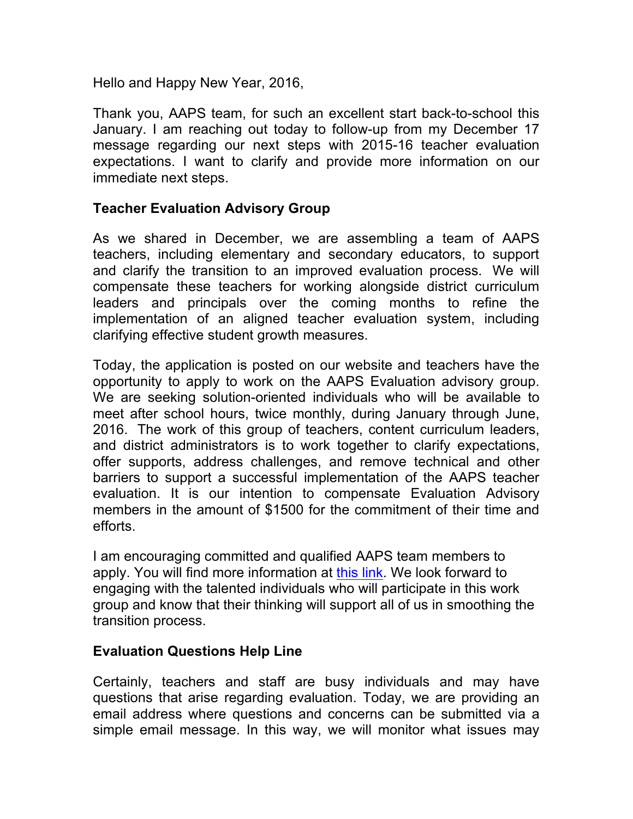Hello and Happy New Year, 2016,

Thank you, AAPS team, for such an excellent start back-to-school this January. I am reaching out today to follow-up from my December 17 message regarding our next steps with 2015-16 teacher evaluation expectations. I want to clarify and provide more information on our immediate next steps.

## **Teacher Evaluation Advisory Group**

As we shared in December, we are assembling a team of AAPS teachers, including elementary and secondary educators, to support and clarify the transition to an improved evaluation process. We will compensate these teachers for working alongside district curriculum leaders and principals over the coming months to refine the implementation of an aligned teacher evaluation system, including clarifying effective student growth measures.

Today, the application is posted on our website and teachers have the opportunity to apply to work on the AAPS Evaluation advisory group. We are seeking solution-oriented individuals who will be available to meet after school hours, twice monthly, during January through June, 2016. The work of this group of teachers, content curriculum leaders, and district administrators is to work together to clarify expectations, offer supports, address challenges, and remove technical and other barriers to support a successful implementation of the AAPS teacher evaluation. It is our intention to compensate Evaluation Advisory members in the amount of \$1500 for the commitment of their time and efforts.

I am encouraging committed and qualified AAPS team members to apply. You will find more information at [this link.](https://docs.google.com/a/aaps.k12.mi.us/forms/d/1DYNhrsHHh56tfIcCS_myjUASXxurpC0UXfOqaugtZhY/edit?usp=sharing) We look forward to engaging with the talented individuals who will participate in this work group and know that their thinking will support all of us in smoothing the transition process.

## **Evaluation Questions Help Line**

Certainly, teachers and staff are busy individuals and may have questions that arise regarding evaluation. Today, we are providing an email address where questions and concerns can be submitted via a simple email message. In this way, we will monitor what issues may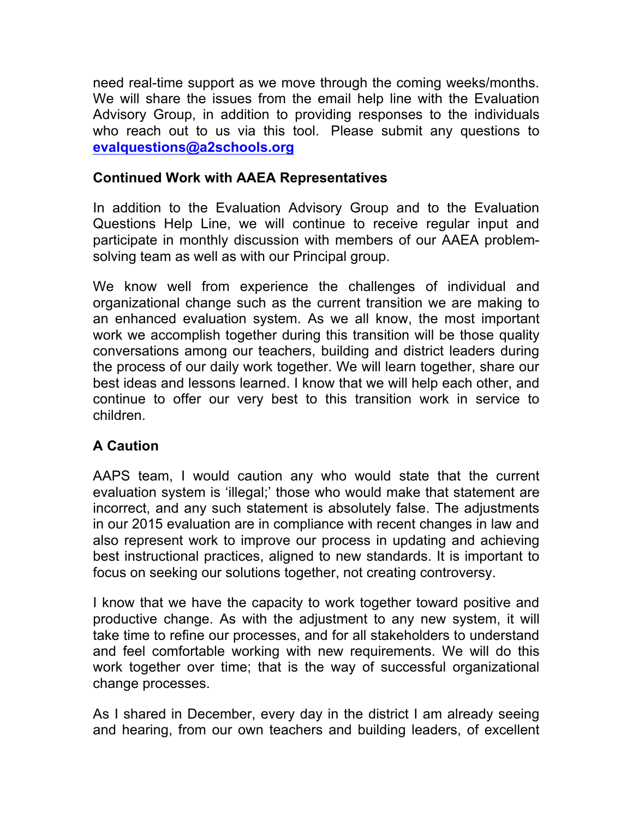need real-time support as we move through the coming weeks/months. We will share the issues from the email help line with the Evaluation Advisory Group, in addition to providing responses to the individuals who reach out to us via this tool. Please submit any questions to **evalquestions@a2schools.org**

## **Continued Work with AAEA Representatives**

In addition to the Evaluation Advisory Group and to the Evaluation Questions Help Line, we will continue to receive regular input and participate in monthly discussion with members of our AAEA problemsolving team as well as with our Principal group.

We know well from experience the challenges of individual and organizational change such as the current transition we are making to an enhanced evaluation system. As we all know, the most important work we accomplish together during this transition will be those quality conversations among our teachers, building and district leaders during the process of our daily work together. We will learn together, share our best ideas and lessons learned. I know that we will help each other, and continue to offer our very best to this transition work in service to children.

## **A Caution**

AAPS team, I would caution any who would state that the current evaluation system is 'illegal;' those who would make that statement are incorrect, and any such statement is absolutely false. The adjustments in our 2015 evaluation are in compliance with recent changes in law and also represent work to improve our process in updating and achieving best instructional practices, aligned to new standards. It is important to focus on seeking our solutions together, not creating controversy.

I know that we have the capacity to work together toward positive and productive change. As with the adjustment to any new system, it will take time to refine our processes, and for all stakeholders to understand and feel comfortable working with new requirements. We will do this work together over time; that is the way of successful organizational change processes.

As I shared in December, every day in the district I am already seeing and hearing, from our own teachers and building leaders, of excellent